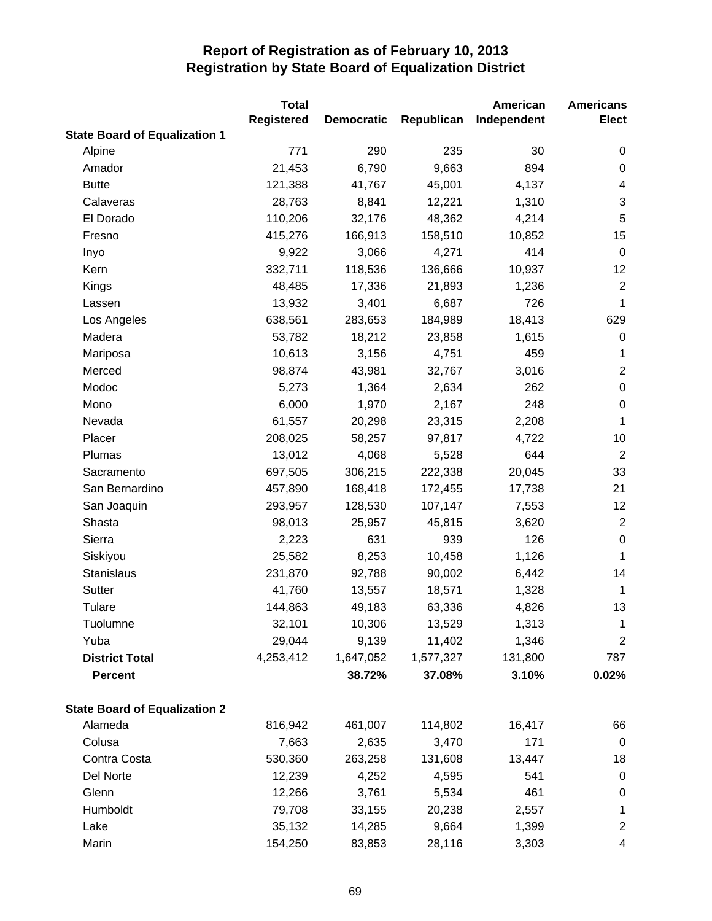|                                      | <b>Total</b>      |                   |            | American    | <b>Americans</b> |
|--------------------------------------|-------------------|-------------------|------------|-------------|------------------|
|                                      | <b>Registered</b> | <b>Democratic</b> | Republican | Independent | <b>Elect</b>     |
| <b>State Board of Equalization 1</b> |                   |                   |            |             |                  |
| Alpine                               | 771               | 290               | 235        | 30          | 0                |
| Amador                               | 21,453            | 6,790             | 9,663      | 894         | $\pmb{0}$        |
| <b>Butte</b>                         | 121,388           | 41,767            | 45,001     | 4,137       | 4                |
| Calaveras                            | 28,763            | 8,841             | 12,221     | 1,310       | 3                |
| El Dorado                            | 110,206           | 32,176            | 48,362     | 4,214       | 5                |
| Fresno                               | 415,276           | 166,913           | 158,510    | 10,852      | 15               |
| Inyo                                 | 9,922             | 3,066             | 4,271      | 414         | $\mathbf 0$      |
| Kern                                 | 332,711           | 118,536           | 136,666    | 10,937      | 12               |
| Kings                                | 48,485            | 17,336            | 21,893     | 1,236       | $\overline{2}$   |
| Lassen                               | 13,932            | 3,401             | 6,687      | 726         | 1                |
| Los Angeles                          | 638,561           | 283,653           | 184,989    | 18,413      | 629              |
| Madera                               | 53,782            | 18,212            | 23,858     | 1,615       | $\pmb{0}$        |
| Mariposa                             | 10,613            | 3,156             | 4,751      | 459         | 1                |
| Merced                               | 98,874            | 43,981            | 32,767     | 3,016       | $\overline{2}$   |
| Modoc                                | 5,273             | 1,364             | 2,634      | 262         | $\boldsymbol{0}$ |
| Mono                                 | 6,000             | 1,970             | 2,167      | 248         | $\pmb{0}$        |
| Nevada                               | 61,557            | 20,298            | 23,315     | 2,208       | 1                |
| Placer                               | 208,025           | 58,257            | 97,817     | 4,722       | 10               |
| Plumas                               | 13,012            | 4,068             | 5,528      | 644         | $\overline{2}$   |
| Sacramento                           | 697,505           | 306,215           | 222,338    | 20,045      | 33               |
| San Bernardino                       | 457,890           | 168,418           | 172,455    | 17,738      | 21               |
| San Joaquin                          | 293,957           | 128,530           | 107,147    | 7,553       | 12               |
| Shasta                               | 98,013            | 25,957            | 45,815     | 3,620       | $\overline{2}$   |
| Sierra                               | 2,223             | 631               | 939        | 126         | $\pmb{0}$        |
| Siskiyou                             | 25,582            | 8,253             | 10,458     | 1,126       | $\mathbf 1$      |
| Stanislaus                           | 231,870           | 92,788            | 90,002     | 6,442       | 14               |
| Sutter                               | 41,760            | 13,557            | 18,571     | 1,328       | $\mathbf{1}$     |
| Tulare                               | 144,863           | 49,183            | 63,336     | 4,826       | 13               |
| Tuolumne                             | 32,101            | 10,306            | 13,529     | 1,313       | 1                |
| Yuba                                 | 29,044            | 9,139             | 11,402     | 1,346       | $\overline{c}$   |
| <b>District Total</b>                | 4,253,412         | 1,647,052         | 1,577,327  | 131,800     | 787              |
| <b>Percent</b>                       |                   | 38.72%            | 37.08%     | 3.10%       | 0.02%            |
| <b>State Board of Equalization 2</b> |                   |                   |            |             |                  |
| Alameda                              | 816,942           | 461,007           | 114,802    | 16,417      | 66               |
| Colusa                               | 7,663             | 2,635             | 3,470      | 171         | $\overline{0}$   |
| Contra Costa                         | 530,360           | 263,258           | 131,608    | 13,447      | 18               |
| Del Norte                            | 12,239            | 4,252             | 4,595      | 541         | $\pmb{0}$        |
| Glenn                                | 12,266            | 3,761             | 5,534      | 461         | $\pmb{0}$        |
| Humboldt                             | 79,708            | 33,155            | 20,238     | 2,557       | $\mathbf 1$      |
| Lake                                 | 35,132            | 14,285            | 9,664      | 1,399       | $\overline{c}$   |
| Marin                                | 154,250           | 83,853            | 28,116     | 3,303       | 4                |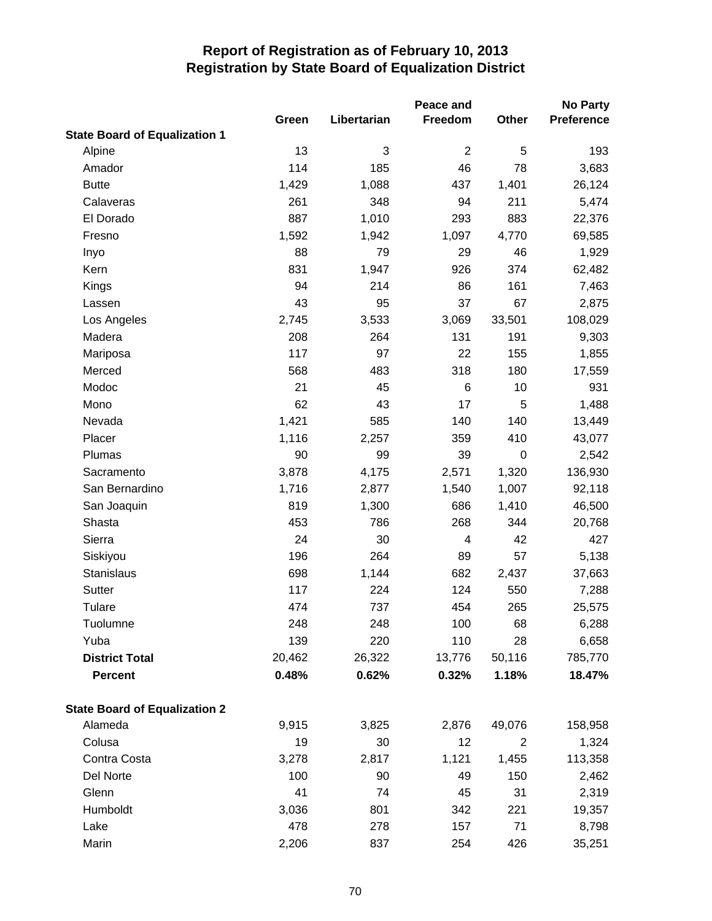|                                      | Peace and |             |                |           | <b>No Party</b>   |  |
|--------------------------------------|-----------|-------------|----------------|-----------|-------------------|--|
|                                      | Green     | Libertarian | Freedom        | Other     | <b>Preference</b> |  |
| <b>State Board of Equalization 1</b> |           |             |                |           |                   |  |
| Alpine                               | 13        | 3           | $\overline{2}$ | 5         | 193               |  |
| Amador                               | 114       | 185         | 46             | 78        | 3,683             |  |
| <b>Butte</b>                         | 1,429     | 1,088       | 437            | 1,401     | 26,124            |  |
| Calaveras                            | 261       | 348         | 94             | 211       | 5,474             |  |
| El Dorado                            | 887       | 1,010       | 293            | 883       | 22,376            |  |
| Fresno                               | 1,592     | 1,942       | 1,097          | 4,770     | 69,585            |  |
| Inyo                                 | 88        | 79          | 29             | 46        | 1,929             |  |
| Kern                                 | 831       | 1,947       | 926            | 374       | 62,482            |  |
| Kings                                | 94        | 214         | 86             | 161       | 7,463             |  |
| Lassen                               | 43        | 95          | 37             | 67        | 2,875             |  |
| Los Angeles                          | 2,745     | 3,533       | 3,069          | 33,501    | 108,029           |  |
| Madera                               | 208       | 264         | 131            | 191       | 9,303             |  |
| Mariposa                             | 117       | 97          | 22             | 155       | 1,855             |  |
| Merced                               | 568       | 483         | 318            | 180       | 17,559            |  |
| Modoc                                | 21        | 45          | 6              | 10        | 931               |  |
| Mono                                 | 62        | 43          | 17             | 5         | 1,488             |  |
| Nevada                               | 1,421     | 585         | 140            | 140       | 13,449            |  |
| Placer                               | 1,116     | 2,257       | 359            | 410       | 43,077            |  |
| Plumas                               | 90        | 99          | 39             | $\pmb{0}$ | 2,542             |  |
| Sacramento                           | 3,878     | 4,175       | 2,571          | 1,320     | 136,930           |  |
| San Bernardino                       | 1,716     | 2,877       | 1,540          | 1,007     | 92,118            |  |
| San Joaquin                          | 819       | 1,300       | 686            | 1,410     | 46,500            |  |
| Shasta                               | 453       | 786         | 268            | 344       | 20,768            |  |
| Sierra                               | 24        | 30          | 4              | 42        | 427               |  |
| Siskiyou                             | 196       | 264         | 89             | 57        | 5,138             |  |
| Stanislaus                           | 698       | 1,144       | 682            | 2,437     | 37,663            |  |
| Sutter                               | 117       | 224         | 124            | 550       | 7,288             |  |
| Tulare                               | 474       | 737         | 454            | 265       | 25,575            |  |
| Tuolumne                             | 248       | 248         | 100            | 68        | 6,288             |  |
| Yuba                                 | 139       | 220         | 110            | 28        | 6,658             |  |
| <b>District Total</b>                | 20,462    | 26,322      | 13,776         | 50,116    | 785,770           |  |
| <b>Percent</b>                       | 0.48%     | 0.62%       | 0.32%          | 1.18%     | 18.47%            |  |
| <b>State Board of Equalization 2</b> |           |             |                |           |                   |  |
| Alameda                              | 9,915     | 3,825       | 2,876          | 49,076    | 158,958           |  |
| Colusa                               | 19        | 30          | 12             | 2         | 1,324             |  |
| Contra Costa                         | 3,278     | 2,817       | 1,121          | 1,455     | 113,358           |  |
| Del Norte                            | 100       | 90          | 49             | 150       | 2,462             |  |
| Glenn                                | 41        | 74          | 45             | 31        | 2,319             |  |
| Humboldt                             | 3,036     | 801         | 342            | 221       | 19,357            |  |
| Lake                                 | 478       | 278         | 157            | 71        | 8,798             |  |
| Marin                                | 2,206     | 837         | 254            | 426       | 35,251            |  |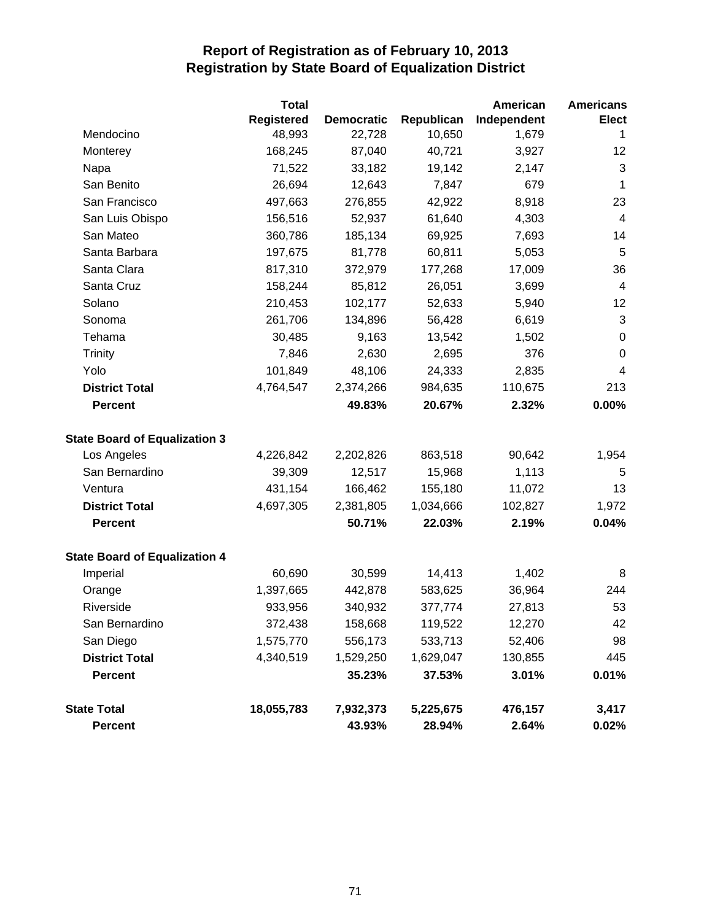|                                      | <b>Total</b>      |                   |            | American    | <b>Americans</b>         |
|--------------------------------------|-------------------|-------------------|------------|-------------|--------------------------|
|                                      | <b>Registered</b> | <b>Democratic</b> | Republican | Independent | <b>Elect</b>             |
| Mendocino                            | 48,993            | 22,728            | 10,650     | 1,679       | 1                        |
| Monterey                             | 168,245           | 87,040            | 40,721     | 3,927       | 12                       |
| Napa                                 | 71,522            | 33,182            | 19,142     | 2,147       | $\sqrt{3}$               |
| San Benito                           | 26,694            | 12,643            | 7,847      | 679         | $\mathbf 1$              |
| San Francisco                        | 497,663           | 276,855           | 42,922     | 8,918       | 23                       |
| San Luis Obispo                      | 156,516           | 52,937            | 61,640     | 4,303       | $\overline{4}$           |
| San Mateo                            | 360,786           | 185,134           | 69,925     | 7,693       | 14                       |
| Santa Barbara                        | 197,675           | 81,778            | 60,811     | 5,053       | 5                        |
| Santa Clara                          | 817,310           | 372,979           | 177,268    | 17,009      | 36                       |
| Santa Cruz                           | 158,244           | 85,812            | 26,051     | 3,699       | 4                        |
| Solano                               | 210,453           | 102,177           | 52,633     | 5,940       | 12                       |
| Sonoma                               | 261,706           | 134,896           | 56,428     | 6,619       | $\sqrt{3}$               |
| Tehama                               | 30,485            | 9,163             | 13,542     | 1,502       | $\pmb{0}$                |
| <b>Trinity</b>                       | 7,846             | 2,630             | 2,695      | 376         | $\boldsymbol{0}$         |
| Yolo                                 | 101,849           | 48,106            | 24,333     | 2,835       | $\overline{\mathcal{A}}$ |
| <b>District Total</b>                | 4,764,547         | 2,374,266         | 984,635    | 110,675     | 213                      |
| <b>Percent</b>                       |                   | 49.83%            | 20.67%     | 2.32%       | 0.00%                    |
| <b>State Board of Equalization 3</b> |                   |                   |            |             |                          |
| Los Angeles                          | 4,226,842         | 2,202,826         | 863,518    | 90,642      | 1,954                    |
| San Bernardino                       | 39,309            | 12,517            | 15,968     | 1,113       | 5                        |
| Ventura                              | 431,154           | 166,462           | 155,180    | 11,072      | 13                       |
| <b>District Total</b>                | 4,697,305         | 2,381,805         | 1,034,666  | 102,827     | 1,972                    |
| <b>Percent</b>                       |                   | 50.71%            | 22.03%     | 2.19%       | 0.04%                    |
| <b>State Board of Equalization 4</b> |                   |                   |            |             |                          |
| Imperial                             | 60,690            | 30,599            | 14,413     | 1,402       | 8                        |
| Orange                               | 1,397,665         | 442,878           | 583,625    | 36,964      | 244                      |
| Riverside                            | 933,956           | 340,932           | 377,774    | 27,813      | 53                       |
| San Bernardino                       | 372,438           | 158,668           | 119,522    | 12,270      | 42                       |
| San Diego                            | 1,575,770         | 556,173           | 533,713    | 52,406      | 98                       |
| <b>District Total</b>                | 4,340,519         | 1,529,250         | 1,629,047  | 130,855     | 445                      |
| <b>Percent</b>                       |                   | 35.23%            | 37.53%     | 3.01%       | 0.01%                    |
| <b>State Total</b>                   | 18,055,783        | 7,932,373         | 5,225,675  | 476,157     | 3,417                    |
| <b>Percent</b>                       |                   | 43.93%            | 28.94%     | 2.64%       | $0.02\%$                 |